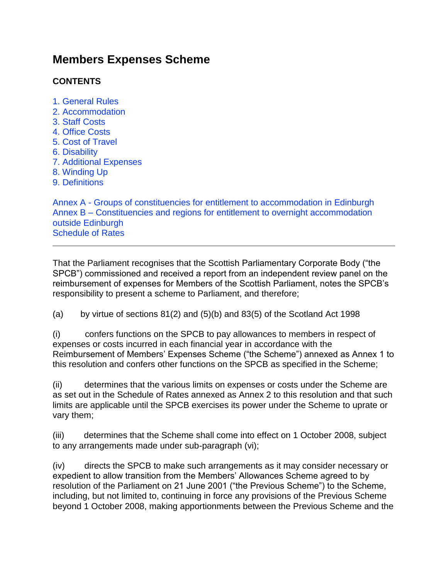# **Members Expenses Scheme**

## **CONTENTS**

- [1. General Rules](#page-5-0)
- [2. Accommodation](#page-10-0)
- [3. Staff Costs](#page-2-0)
- 4. Office Costs
- [5. Cost of Travel](#page-4-0)
- [6. Disability](#page-21-0)
- [7. Additional Expenses](#page-4-1)
- [8. Winding Up](#page-21-1)
- [9. Definitions](#page-23-0)

Annex A - [Groups of constituencies for entitlement to accommodation in Edinburgh](#page-5-1) Annex B – [Constituencies and regions for entitlement to overnight accommodation](#page-5-2)  [outside Edinburgh](#page-5-2) [Schedule of Rates](#page-30-0)

That the Parliament recognises that the Scottish Parliamentary Corporate Body ("the SPCB") commissioned and received a report from an independent review panel on the reimbursement of expenses for Members of the Scottish Parliament, notes the SPCB's responsibility to present a scheme to Parliament, and therefore;

(a) by virtue of sections  $81(2)$  and  $(5)(b)$  and  $83(5)$  of the Scotland Act 1998

(i) confers functions on the SPCB to pay allowances to members in respect of expenses or costs incurred in each financial year in accordance with the Reimbursement of Members' Expenses Scheme ("the Scheme") annexed as Annex 1 to this resolution and confers other functions on the SPCB as specified in the Scheme;

(ii) determines that the various limits on expenses or costs under the Scheme are as set out in the Schedule of Rates annexed as Annex 2 to this resolution and that such limits are applicable until the SPCB exercises its power under the Scheme to uprate or vary them;

(iii) determines that the Scheme shall come into effect on 1 October 2008, subject to any arrangements made under sub-paragraph (vi);

(iv) directs the SPCB to make such arrangements as it may consider necessary or expedient to allow transition from the Members' Allowances Scheme agreed to by resolution of the Parliament on 21 June 2001 ("the Previous Scheme") to the Scheme, including, but not limited to, continuing in force any provisions of the Previous Scheme beyond 1 October 2008, making apportionments between the Previous Scheme and the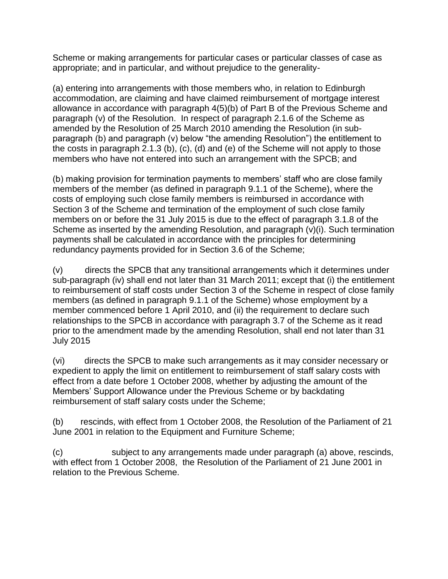Scheme or making arrangements for particular cases or particular classes of case as appropriate; and in particular, and without prejudice to the generality-

(a) entering into arrangements with those members who, in relation to Edinburgh accommodation, are claiming and have claimed reimbursement of mortgage interest allowance in accordance with paragraph 4(5)(b) of Part B of the Previous Scheme and paragraph (v) of the Resolution. In respect of paragraph 2.1.6 of the Scheme as amended by the Resolution of 25 March 2010 amending the Resolution (in subparagraph (b) and paragraph (v) below "the amending Resolution") the entitlement to the costs in paragraph 2.1.3 (b), (c), (d) and (e) of the Scheme will not apply to those members who have not entered into such an arrangement with the SPCB; and

(b) making provision for termination payments to members' staff who are close family members of the member (as defined in paragraph 9.1.1 of the Scheme), where the costs of employing such close family members is reimbursed in accordance with Section 3 of the Scheme and termination of the employment of such close family members on or before the 31 July 2015 is due to the effect of paragraph 3.1.8 of the Scheme as inserted by the amending Resolution, and paragraph (v)(i). Such termination payments shall be calculated in accordance with the principles for determining redundancy payments provided for in Section 3.6 of the Scheme;

(v) directs the SPCB that any transitional arrangements which it determines under sub-paragraph (iv) shall end not later than 31 March 2011; except that (i) the entitlement to reimbursement of staff costs under Section 3 of the Scheme in respect of close family members (as defined in paragraph 9.1.1 of the Scheme) whose employment by a member commenced before 1 April 2010, and (ii) the requirement to declare such relationships to the SPCB in accordance with paragraph 3.7 of the Scheme as it read prior to the amendment made by the amending Resolution, shall end not later than 31 July 2015

(vi) directs the SPCB to make such arrangements as it may consider necessary or expedient to apply the limit on entitlement to reimbursement of staff salary costs with effect from a date before 1 October 2008, whether by adjusting the amount of the Members' Support Allowance under the Previous Scheme or by backdating reimbursement of staff salary costs under the Scheme;

(b) rescinds, with effect from 1 October 2008, the Resolution of the Parliament of 21 June 2001 in relation to the Equipment and Furniture Scheme;

(c) subject to any arrangements made under paragraph (a) above, rescinds, with effect from 1 October 2008, the Resolution of the Parliament of 21 June 2001 in relation to the Previous Scheme.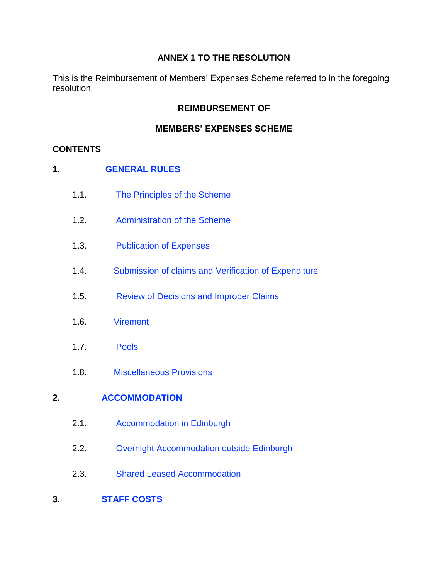### **ANNEX 1 TO THE RESOLUTION**

This is the Reimbursement of Members' Expenses Scheme referred to in the foregoing resolution.

#### **REIMBURSEMENT OF**

#### **MEMBERS' EXPENSES SCHEME**

#### **CONTENTS**

- **1. [GENERAL RULES](#page-5-0)**
	- 1.1. [The Principles of the Scheme](#page-5-3)
	- 1.2. [Administration of the Scheme](#page-7-0)
	- 1.3. [Publication of Expenses](#page-8-0)
	- 1.4. [Submission of claims and Verification of Expenditure](#page-8-1)
	- 1.5. [Review of Decisions and Improper Claims](#page-9-0)
	- 1.6. [Virement](#page-9-1)
	- 1.7. [Pools](#page-10-1)
	- 1.8. [Miscellaneous Provisions](#page-10-2)

### **2. [ACCOMMODATION](#page-10-0)**

- 2.1. [Accommodation in Edinburgh](#page-10-3)
- 2.2. [Overnight Accommodation outside Edinburgh](#page-11-0)
- <span id="page-2-0"></span>2.3. [Shared Leased Accommodation](#page-12-0)
- **3. [STAFF COSTS](#page-12-1)**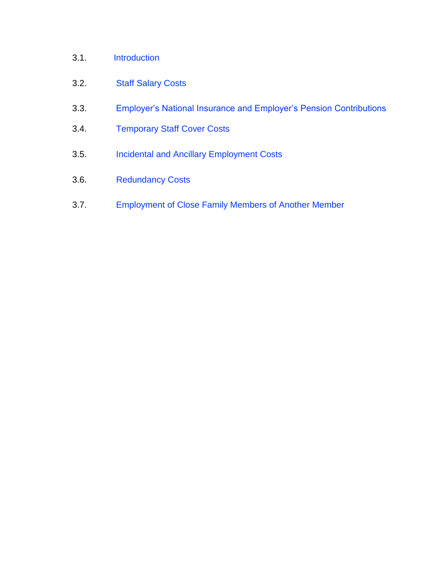## 3.1. [Introduction](#page-12-2)

## 3.2. [Staff Salary Costs](#page-13-0)

- 3.3. [Employer's National Insurance and Employer's Pension Contributions](#page-14-0)
- 3.4. [Temporary Staff Cover Costs](#page-14-1)
- 3.5. [Incidental and Ancillary Employment Costs](#page-14-2)
- 3.6. [Redundancy Costs](#page-15-0)
- 3.7. [Employment of Close Family Members of Another Member](#page-16-0)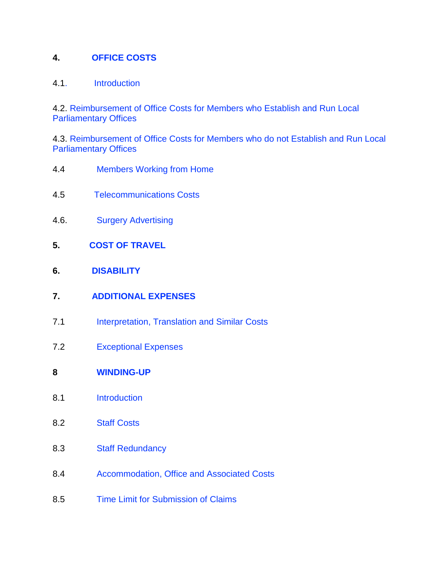#### **4. [OFFICE COSTS](#page-16-1)**

#### 4.[1. Introduction](#page-16-2)

4.2. [Reimbursement of Office Costs for Members who Establish and Run Local](#page-17-0)  [Parliamentary Offices](#page-17-0)

4.3. [Reimbursement of Office Costs for Members who do not Establish and Run Local](#page-19-0)  [Parliamentary Offices](#page-19-0)

- 4.4 [Members Working from Home](#page-19-1)
- 4.5 [Telecommunications Costs](#page-20-0)
- 4.6. [Surgery Advertising](#page-20-1)
- <span id="page-4-0"></span>**5. [COST OF TRAVEL](#page-20-2)**
- **6. [DISABILITY](#page-21-0)**
- <span id="page-4-1"></span>**7. [ADDITIONAL EXPENSES](#page-21-2)**
- 7.1 [Interpretation, Translation and](#page-21-3) Similar Costs
- 7.2 [Exceptional Expenses](#page-21-4)
- **8 [WINDING-UP](#page-21-1)**
- 8.1 [Introduction](#page-22-0)
- 8.2 [Staff Costs](#page-22-1)
- 8.3 [Staff Redundancy](#page-22-2)
- 8.4 [Accommodation, Office and Associated Costs](#page-23-1)
- 8.5 [Time Limit for Submission of Claims](#page-23-2)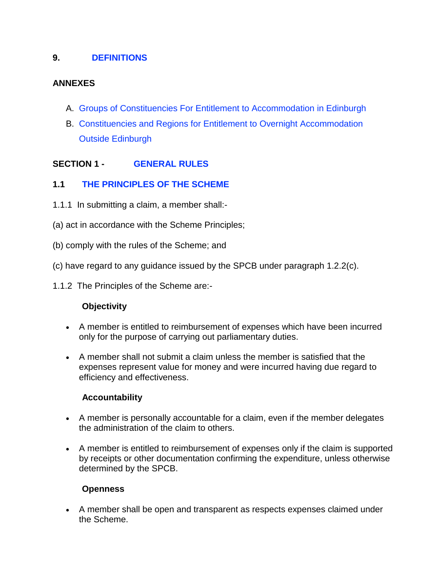### **9. [DEFINITIONS](#page-23-0)**

#### **ANNEXES**

- <span id="page-5-1"></span>A. [Groups of Constituencies For Entitlement to Accommodation in Edinburgh](#page-26-0)
- <span id="page-5-2"></span><span id="page-5-0"></span>B. [Constituencies and Regions for Entitlement to](#page-28-0) Overnight Accommodation [Outside Edinburgh](#page-28-0)

### **SECTION 1 - [GENERAL RULES](#page-5-0)**

#### <span id="page-5-3"></span>**1.1 [THE PRINCIPLES OF THE SCHEME](#page-5-3)**

- 1.1.1 In submitting a claim, a member shall:-
- (a) act in accordance with the Scheme Principles;
- (b) comply with the rules of the Scheme; and
- (c) have regard to any guidance issued by the SPCB under paragraph 1.2.2(c).
- 1.1.2 The Principles of the Scheme are:-

#### **Objectivity**

- A member is entitled to reimbursement of expenses which have been incurred only for the purpose of carrying out parliamentary duties.
- A member shall not submit a claim unless the member is satisfied that the expenses represent value for money and were incurred having due regard to efficiency and effectiveness.

#### **Accountability**

- A member is personally accountable for a claim, even if the member delegates the administration of the claim to others.
- A member is entitled to reimbursement of expenses only if the claim is supported by receipts or other documentation confirming the expenditure, unless otherwise determined by the SPCB.

#### **Openness**

 A member shall be open and transparent as respects expenses claimed under the Scheme.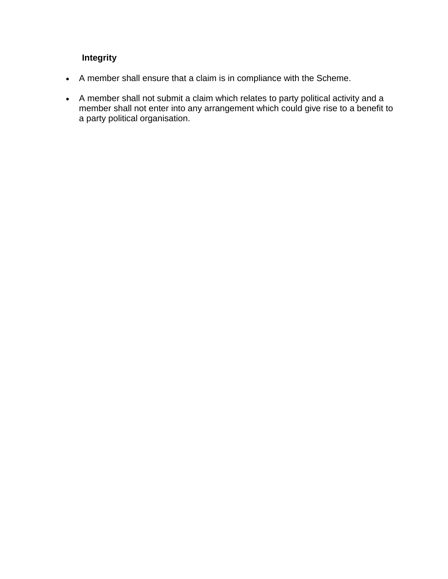## **Integrity**

- A member shall ensure that a claim is in compliance with the Scheme.
- A member shall not submit a claim which relates to party political activity and a member shall not enter into any arrangement which could give rise to a benefit to a party political organisation.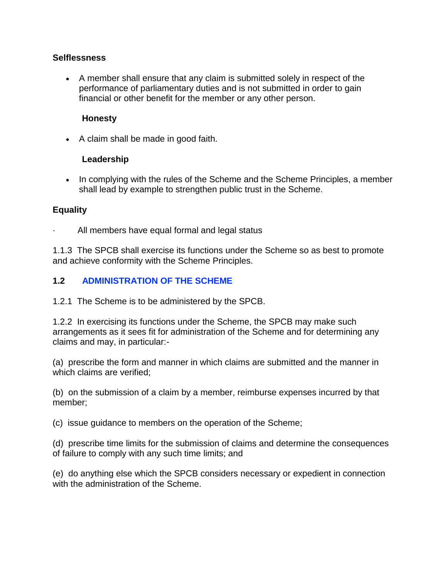#### **Selflessness**

 A member shall ensure that any claim is submitted solely in respect of the performance of parliamentary duties and is not submitted in order to gain financial or other benefit for the member or any other person.

#### **Honesty**

• A claim shall be made in good faith.

#### **Leadership**

• In complying with the rules of the Scheme and the Scheme Principles, a member shall lead by example to strengthen public trust in the Scheme.

#### **Equality**

All members have equal formal and legal status

1.1.3 The SPCB shall exercise its functions under the Scheme so as best to promote and achieve conformity with the Scheme Principles.

#### <span id="page-7-0"></span>**1.2 [ADMINISTRATION OF THE SCHEME](#page-7-0)**

1.2.1 The Scheme is to be administered by the SPCB.

1.2.2 In exercising its functions under the Scheme, the SPCB may make such arrangements as it sees fit for administration of the Scheme and for determining any claims and may, in particular:-

(a) prescribe the form and manner in which claims are submitted and the manner in which claims are verified;

(b) on the submission of a claim by a member, reimburse expenses incurred by that member;

(c) issue guidance to members on the operation of the Scheme;

(d) prescribe time limits for the submission of claims and determine the consequences of failure to comply with any such time limits; and

(e) do anything else which the SPCB considers necessary or expedient in connection with the administration of the Scheme.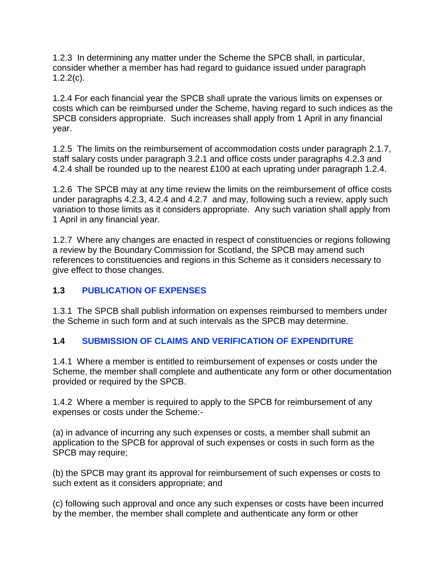1.2.3 In determining any matter under the Scheme the SPCB shall, in particular, consider whether a member has had regard to guidance issued under paragraph  $1.2.2(c)$ .

1.2.4 For each financial year the SPCB shall uprate the various limits on expenses or costs which can be reimbursed under the Scheme, having regard to such indices as the SPCB considers appropriate. Such increases shall apply from 1 April in any financial year.

1.2.5 The limits on the reimbursement of accommodation costs under paragraph 2.1.7, staff salary costs under paragraph 3.2.1 and office costs under paragraphs 4.2.3 and 4.2.4 shall be rounded up to the nearest £100 at each uprating under paragraph 1.2.4.

1.2.6 The SPCB may at any time review the limits on the reimbursement of office costs under paragraphs 4.2.3, 4.2.4 and 4.2.7 and may, following such a review, apply such variation to those limits as it considers appropriate. Any such variation shall apply from 1 April in any financial year.

1.2.7 Where any changes are enacted in respect of constituencies or regions following a review by the Boundary Commission for Scotland, the SPCB may amend such references to constituencies and regions in this Scheme as it considers necessary to give effect to those changes.

### <span id="page-8-0"></span>**1.3 [PUBLICATION OF EXPENSES](#page-8-0)**

1.3.1 The SPCB shall publish information on expenses reimbursed to members under the Scheme in such form and at such intervals as the SPCB may determine.

## <span id="page-8-1"></span>**1.4 [SUBMISSION OF CLAIMS AND VERIFICATION OF EXPENDITURE](#page-8-1)**

1.4.1 Where a member is entitled to reimbursement of expenses or costs under the Scheme, the member shall complete and authenticate any form or other documentation provided or required by the SPCB.

1.4.2 Where a member is required to apply to the SPCB for reimbursement of any expenses or costs under the Scheme:-

(a) in advance of incurring any such expenses or costs, a member shall submit an application to the SPCB for approval of such expenses or costs in such form as the SPCB may require;

(b) the SPCB may grant its approval for reimbursement of such expenses or costs to such extent as it considers appropriate; and

(c) following such approval and once any such expenses or costs have been incurred by the member, the member shall complete and authenticate any form or other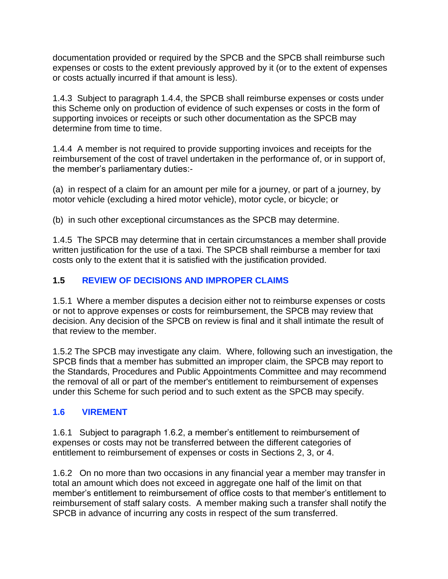documentation provided or required by the SPCB and the SPCB shall reimburse such expenses or costs to the extent previously approved by it (or to the extent of expenses or costs actually incurred if that amount is less).

1.4.3 Subject to paragraph 1.4.4, the SPCB shall reimburse expenses or costs under this Scheme only on production of evidence of such expenses or costs in the form of supporting invoices or receipts or such other documentation as the SPCB may determine from time to time.

1.4.4 A member is not required to provide supporting invoices and receipts for the reimbursement of the cost of travel undertaken in the performance of, or in support of, the member's parliamentary duties:-

(a) in respect of a claim for an amount per mile for a journey, or part of a journey, by motor vehicle (excluding a hired motor vehicle), motor cycle, or bicycle; or

(b) in such other exceptional circumstances as the SPCB may determine.

1.4.5 The SPCB may determine that in certain circumstances a member shall provide written justification for the use of a taxi. The SPCB shall reimburse a member for taxi costs only to the extent that it is satisfied with the justification provided.

## <span id="page-9-0"></span>**1.5 [REVIEW OF DECISIONS AND IMPROPER CLAIMS](#page-9-0)**

1.5.1 Where a member disputes a decision either not to reimburse expenses or costs or not to approve expenses or costs for reimbursement, the SPCB may review that decision. Any decision of the SPCB on review is final and it shall intimate the result of that review to the member.

1.5.2 The SPCB may investigate any claim. Where, following such an investigation, the SPCB finds that a member has submitted an improper claim, the SPCB may report to the Standards, Procedures and Public Appointments Committee and may recommend the removal of all or part of the member's entitlement to reimbursement of expenses under this Scheme for such period and to such extent as the SPCB may specify.

## <span id="page-9-1"></span>**[1.6 VIREMENT](#page-9-1)**

1.6.1 Subject to paragraph 1.6.2, a member's entitlement to reimbursement of expenses or costs may not be transferred between the different categories of entitlement to reimbursement of expenses or costs in Sections 2, 3, or 4.

1.6.2 On no more than two occasions in any financial year a member may transfer in total an amount which does not exceed in aggregate one half of the limit on that member's entitlement to reimbursement of office costs to that member's entitlement to reimbursement of staff salary costs. A member making such a transfer shall notify the SPCB in advance of incurring any costs in respect of the sum transferred.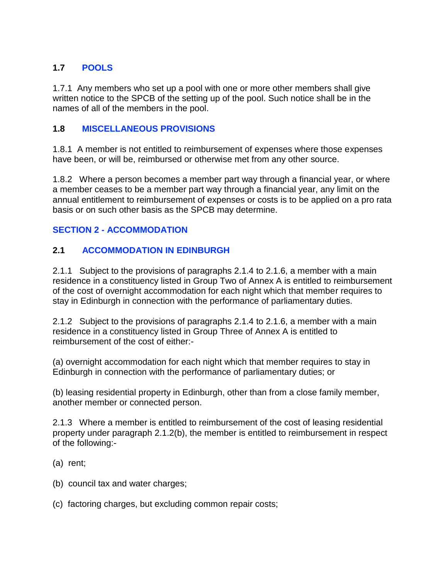### <span id="page-10-1"></span>**1.7 [POOLS](#page-10-1)**

1.7.1 Any members who set up a pool with one or more other members shall give written notice to the SPCB of the setting up of the pool. Such notice shall be in the names of all of the members in the pool.

### <span id="page-10-2"></span>**1.8 [MISCELLANEOUS PROVISIONS](#page-10-2)**

1.8.1 A member is not entitled to reimbursement of expenses where those expenses have been, or will be, reimbursed or otherwise met from any other source.

1.8.2 Where a person becomes a member part way through a financial year, or where a member ceases to be a member part way through a financial year, any limit on the annual entitlement to reimbursement of expenses or costs is to be applied on a pro rata basis or on such other basis as the SPCB may determine.

### <span id="page-10-0"></span>**SECTION 2 - [ACCOMMODATION](#page-10-0)**

### <span id="page-10-3"></span>**2.1 [ACCOMMODATION IN EDINBURGH](#page-10-3)**

2.1.1 Subject to the provisions of paragraphs 2.1.4 to 2.1.6, a member with a main residence in a constituency listed in Group Two of Annex A is entitled to reimbursement of the cost of overnight accommodation for each night which that member requires to stay in Edinburgh in connection with the performance of parliamentary duties.

2.1.2 Subject to the provisions of paragraphs 2.1.4 to 2.1.6, a member with a main residence in a constituency listed in Group Three of Annex A is entitled to reimbursement of the cost of either:-

(a) overnight accommodation for each night which that member requires to stay in Edinburgh in connection with the performance of parliamentary duties; or

(b) leasing residential property in Edinburgh, other than from a close family member, another member or connected person.

2.1.3 Where a member is entitled to reimbursement of the cost of leasing residential property under paragraph 2.1.2(b), the member is entitled to reimbursement in respect of the following:-

- (a) rent;
- (b) council tax and water charges;
- (c) factoring charges, but excluding common repair costs;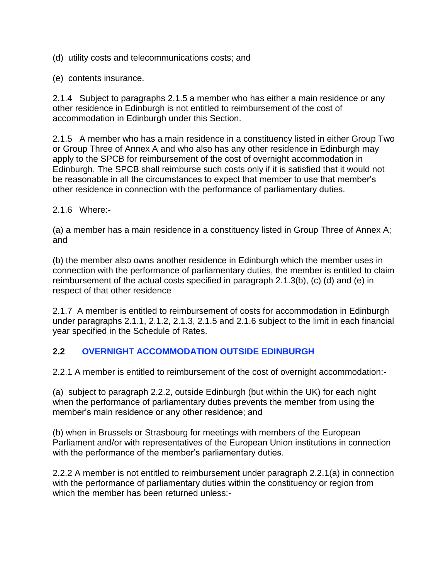(d) utility costs and telecommunications costs; and

(e) contents insurance.

2.1.4 Subject to paragraphs 2.1.5 a member who has either a main residence or any other residence in Edinburgh is not entitled to reimbursement of the cost of accommodation in Edinburgh under this Section.

2.1.5 A member who has a main residence in a constituency listed in either Group Two or Group Three of Annex A and who also has any other residence in Edinburgh may apply to the SPCB for reimbursement of the cost of overnight accommodation in Edinburgh. The SPCB shall reimburse such costs only if it is satisfied that it would not be reasonable in all the circumstances to expect that member to use that member's other residence in connection with the performance of parliamentary duties.

2.1.6 Where:-

(a) a member has a main residence in a constituency listed in Group Three of Annex A; and

(b) the member also owns another residence in Edinburgh which the member uses in connection with the performance of parliamentary duties, the member is entitled to claim reimbursement of the actual costs specified in paragraph 2.1.3(b), (c) (d) and (e) in respect of that other residence

2.1.7 A member is entitled to reimbursement of costs for accommodation in Edinburgh under paragraphs 2.1.1, 2.1.2, 2.1.3, 2.1.5 and 2.1.6 subject to the limit in each financial year specified in the Schedule of Rates.

### <span id="page-11-0"></span>**2.2 [OVERNIGHT ACCOMMODATION OUTSIDE EDINBURGH](#page-11-0)**

2.2.1 A member is entitled to reimbursement of the cost of overnight accommodation:-

(a) subject to paragraph 2.2.2, outside Edinburgh (but within the UK) for each night when the performance of parliamentary duties prevents the member from using the member's main residence or any other residence; and

(b) when in Brussels or Strasbourg for meetings with members of the European Parliament and/or with representatives of the European Union institutions in connection with the performance of the member's parliamentary duties.

2.2.2 A member is not entitled to reimbursement under paragraph 2.2.1(a) in connection with the performance of parliamentary duties within the constituency or region from which the member has been returned unless:-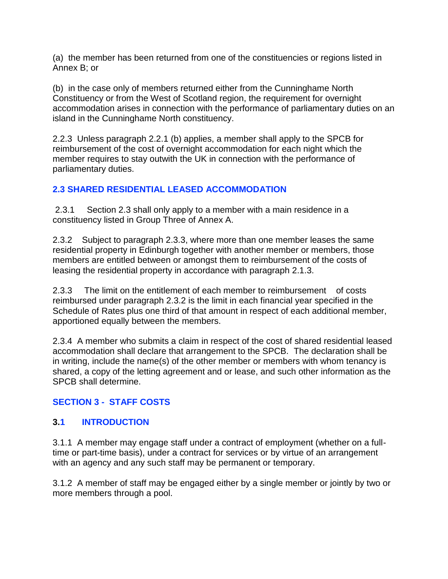(a) the member has been returned from one of the constituencies or regions listed in Annex B; or

(b) in the case only of members returned either from the Cunninghame North Constituency or from the West of Scotland region, the requirement for overnight accommodation arises in connection with the performance of parliamentary duties on an island in the Cunninghame North constituency.

2.2.3 Unless paragraph 2.2.1 (b) applies, a member shall apply to the SPCB for reimbursement of the cost of overnight accommodation for each night which the member requires to stay outwith the UK in connection with the performance of parliamentary duties.

### <span id="page-12-0"></span>**[2.3 SHARED RESIDENTIAL LEASED ACCOMMODATION](#page-12-0)**

2.3.1 Section 2.3 shall only apply to a member with a main residence in a constituency listed in Group Three of Annex A.

2.3.2 Subject to paragraph 2.3.3, where more than one member leases the same residential property in Edinburgh together with another member or members, those members are entitled between or amongst them to reimbursement of the costs of leasing the residential property in accordance with paragraph 2.1.3.

2.3.3 The limit on the entitlement of each member to reimbursement of costs reimbursed under paragraph 2.3.2 is the limit in each financial year specified in the Schedule of Rates plus one third of that amount in respect of each additional member, apportioned equally between the members.

2.3.4 A member who submits a claim in respect of the cost of shared residential leased accommodation shall declare that arrangement to the SPCB. The declaration shall be in writing, include the name(s) of the other member or members with whom tenancy is shared, a copy of the letting agreement and or lease, and such other information as the SPCB shall determine.

## <span id="page-12-1"></span>**SECTION 3 - [STAFF COSTS](#page-12-1)**

### <span id="page-12-2"></span>**3[.1 INTRODUCTION](#page-12-2)**

3.1.1 A member may engage staff under a contract of employment (whether on a fulltime or part-time basis), under a contract for services or by virtue of an arrangement with an agency and any such staff may be permanent or temporary.

3.1.2 A member of staff may be engaged either by a single member or jointly by two or more members through a pool.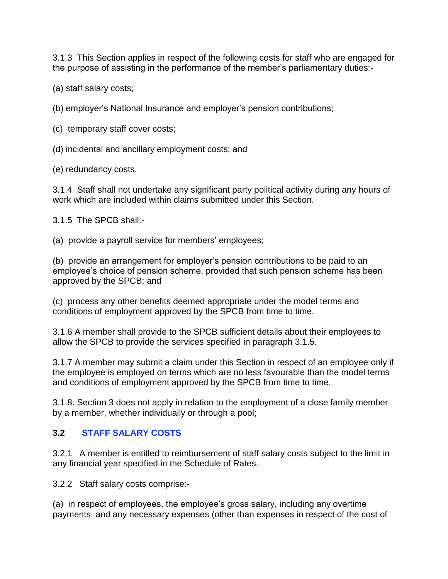3.1.3 This Section applies in respect of the following costs for staff who are engaged for the purpose of assisting in the performance of the member's parliamentary duties:-

(a) staff salary costs;

(b) employer's National Insurance and employer's pension contributions;

(c) temporary staff cover costs;

(d) incidental and ancillary employment costs; and

(e) redundancy costs.

3.1.4 Staff shall not undertake any significant party political activity during any hours of work which are included within claims submitted under this Section.

3.1.5 The SPCB shall:-

(a) provide a payroll service for members' employees;

(b) provide an arrangement for employer's pension contributions to be paid to an employee's choice of pension scheme, provided that such pension scheme has been approved by the SPCB; and

(c) process any other benefits deemed appropriate under the model terms and conditions of employment approved by the SPCB from time to time.

3.1.6 A member shall provide to the SPCB sufficient details about their employees to allow the SPCB to provide the services specified in paragraph 3.1.5.

3.1.7 A member may submit a claim under this Section in respect of an employee only if the employee is employed on terms which are no less favourable than the model terms and conditions of employment approved by the SPCB from time to time.

3.1.8. Section 3 does not apply in relation to the employment of a close family member by a member, whether individually or through a pool;

### <span id="page-13-0"></span>**3.2 [STAFF SALARY COSTS](#page-13-0)**

3.2.1 A member is entitled to reimbursement of staff salary costs subject to the limit in any financial year specified in the Schedule of Rates.

3.2.2 Staff salary costs comprise:-

(a) in respect of employees, the employee's gross salary, including any overtime payments, and any necessary expenses (other than expenses in respect of the cost of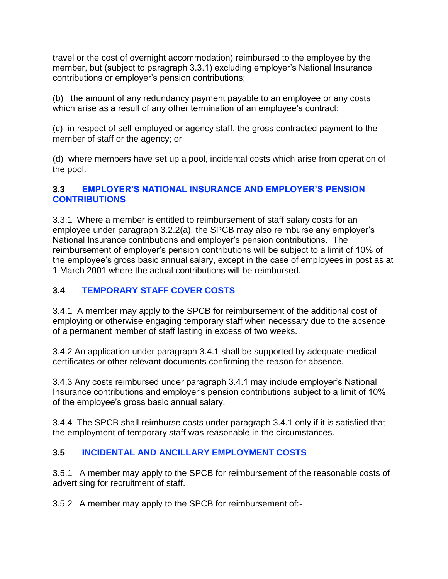travel or the cost of overnight accommodation) reimbursed to the employee by the member, but (subject to paragraph 3.3.1) excluding employer's National Insurance contributions or employer's pension contributions;

(b) the amount of any redundancy payment payable to an employee or any costs which arise as a result of any other termination of an employee's contract;

(c) in respect of self-employed or agency staff, the gross contracted payment to the member of staff or the agency; or

(d) where members have set up a pool, incidental costs which arise from operation of the pool.

### <span id="page-14-0"></span>**3.3 [EMPLOYER'S NATIONAL INSURANCE AND EMPLOYER'S PENSION](#page-14-0)  [CONTRIBUTIONS](#page-14-0)**

3.3.1 Where a member is entitled to reimbursement of staff salary costs for an employee under paragraph 3.2.2(a), the SPCB may also reimburse any employer's National Insurance contributions and employer's pension contributions. The reimbursement of employer's pension contributions will be subject to a limit of 10% of the employee's gross basic annual salary, except in the case of employees in post as at 1 March 2001 where the actual contributions will be reimbursed.

## <span id="page-14-1"></span>**3.4 [TEMPORARY STAFF COVER COSTS](#page-14-1)**

3.4.1 A member may apply to the SPCB for reimbursement of the additional cost of employing or otherwise engaging temporary staff when necessary due to the absence of a permanent member of staff lasting in excess of two weeks.

3.4.2 An application under paragraph 3.4.1 shall be supported by adequate medical certificates or other relevant documents confirming the reason for absence.

3.4.3 Any costs reimbursed under paragraph 3.4.1 may include employer's National Insurance contributions and employer's pension contributions subject to a limit of 10% of the employee's gross basic annual salary.

3.4.4 The SPCB shall reimburse costs under paragraph 3.4.1 only if it is satisfied that the employment of temporary staff was reasonable in the circumstances.

### <span id="page-14-2"></span>**3.5 [INCIDENTAL AND ANCILLARY EMPLOYMENT COSTS](#page-14-2)**

3.5.1 A member may apply to the SPCB for reimbursement of the reasonable costs of advertising for recruitment of staff.

3.5.2 A member may apply to the SPCB for reimbursement of:-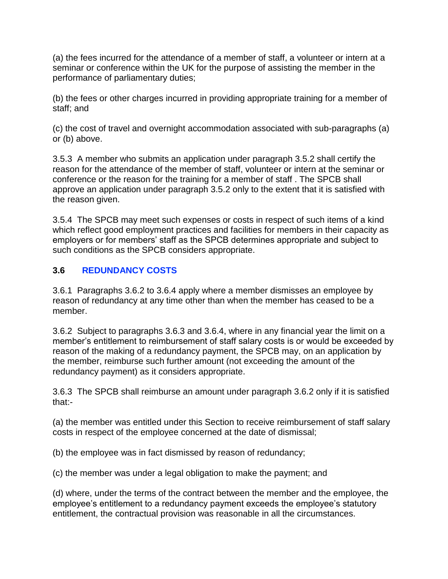(a) the fees incurred for the attendance of a member of staff, a volunteer or intern at a seminar or conference within the UK for the purpose of assisting the member in the performance of parliamentary duties;

(b) the fees or other charges incurred in providing appropriate training for a member of staff; and

(c) the cost of travel and overnight accommodation associated with sub-paragraphs (a) or (b) above.

3.5.3 A member who submits an application under paragraph 3.5.2 shall certify the reason for the attendance of the member of staff, volunteer or intern at the seminar or conference or the reason for the training for a member of staff . The SPCB shall approve an application under paragraph 3.5.2 only to the extent that it is satisfied with the reason given.

3.5.4 The SPCB may meet such expenses or costs in respect of such items of a kind which reflect good employment practices and facilities for members in their capacity as employers or for members' staff as the SPCB determines appropriate and subject to such conditions as the SPCB considers appropriate.

## <span id="page-15-0"></span>**3.6 [REDUNDANCY COSTS](#page-15-0)**

3.6.1 Paragraphs 3.6.2 to 3.6.4 apply where a member dismisses an employee by reason of redundancy at any time other than when the member has ceased to be a member.

3.6.2 Subject to paragraphs 3.6.3 and 3.6.4, where in any financial year the limit on a member's entitlement to reimbursement of staff salary costs is or would be exceeded by reason of the making of a redundancy payment, the SPCB may, on an application by the member, reimburse such further amount (not exceeding the amount of the redundancy payment) as it considers appropriate.

3.6.3 The SPCB shall reimburse an amount under paragraph 3.6.2 only if it is satisfied that:-

(a) the member was entitled under this Section to receive reimbursement of staff salary costs in respect of the employee concerned at the date of dismissal;

(b) the employee was in fact dismissed by reason of redundancy;

(c) the member was under a legal obligation to make the payment; and

(d) where, under the terms of the contract between the member and the employee, the employee's entitlement to a redundancy payment exceeds the employee's statutory entitlement, the contractual provision was reasonable in all the circumstances.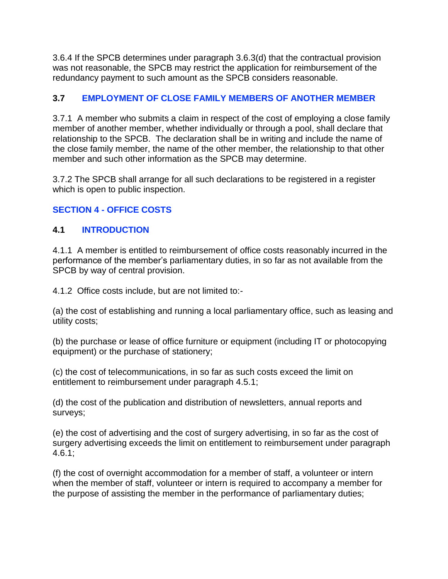3.6.4 If the SPCB determines under paragraph 3.6.3(d) that the contractual provision was not reasonable, the SPCB may restrict the application for reimbursement of the redundancy payment to such amount as the SPCB considers reasonable.

### <span id="page-16-0"></span>**3.7 [EMPLOYMENT OF CLOSE FAMILY MEMBERS OF ANOTHER MEMBER](#page-16-0)**

3.7.1 A member who submits a claim in respect of the cost of employing a close family member of another member, whether individually or through a pool, shall declare that relationship to the SPCB. The declaration shall be in writing and include the name of the close family member, the name of the other member, the relationship to that other member and such other information as the SPCB may determine.

3.7.2 The SPCB shall arrange for all such declarations to be registered in a register which is open to public inspection.

## <span id="page-16-1"></span>**SECTION 4 - [OFFICE COSTS](#page-16-1)**

### <span id="page-16-2"></span>**4.1 [INTRODUCTION](#page-16-2)**

4.1.1 A member is entitled to reimbursement of office costs reasonably incurred in the performance of the member's parliamentary duties, in so far as not available from the SPCB by way of central provision.

4.1.2 Office costs include, but are not limited to:-

(a) the cost of establishing and running a local parliamentary office, such as leasing and utility costs;

(b) the purchase or lease of office furniture or equipment (including IT or photocopying equipment) or the purchase of stationery;

(c) the cost of telecommunications, in so far as such costs exceed the limit on entitlement to reimbursement under paragraph 4.5.1;

(d) the cost of the publication and distribution of newsletters, annual reports and surveys;

(e) the cost of advertising and the cost of surgery advertising, in so far as the cost of surgery advertising exceeds the limit on entitlement to reimbursement under paragraph 4.6.1;

(f) the cost of overnight accommodation for a member of staff, a volunteer or intern when the member of staff, volunteer or intern is required to accompany a member for the purpose of assisting the member in the performance of parliamentary duties;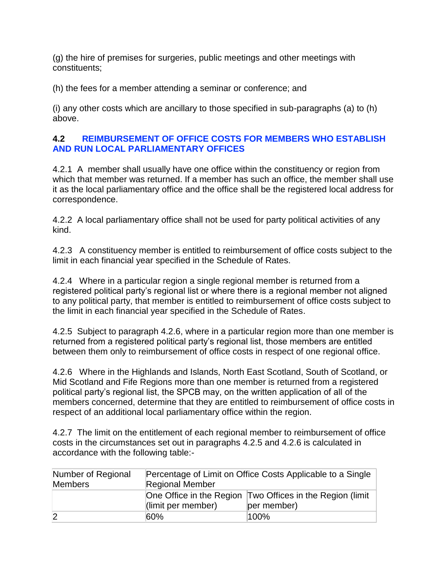(g) the hire of premises for surgeries, public meetings and other meetings with constituents;

(h) the fees for a member attending a seminar or conference; and

(i) any other costs which are ancillary to those specified in sub-paragraphs (a) to (h) above.

#### <span id="page-17-0"></span>**4.2 [REIMBURSEMENT OF OFFICE COSTS FOR MEMBERS WHO ESTABLISH](#page-17-0)  [AND RUN LOCAL PARLIAMENTARY OFFICES](#page-17-0)**

4.2.1 A member shall usually have one office within the constituency or region from which that member was returned. If a member has such an office, the member shall use it as the local parliamentary office and the office shall be the registered local address for correspondence.

4.2.2 A local parliamentary office shall not be used for party political activities of any kind.

4.2.3 A constituency member is entitled to reimbursement of office costs subject to the limit in each financial year specified in the Schedule of Rates.

4.2.4 Where in a particular region a single regional member is returned from a registered political party's regional list or where there is a regional member not aligned to any political party, that member is entitled to reimbursement of office costs subject to the limit in each financial year specified in the Schedule of Rates.

4.2.5 Subject to paragraph 4.2.6, where in a particular region more than one member is returned from a registered political party's regional list, those members are entitled between them only to reimbursement of office costs in respect of one regional office.

4.2.6 Where in the Highlands and Islands, North East Scotland, South of Scotland, or Mid Scotland and Fife Regions more than one member is returned from a registered political party's regional list, the SPCB may, on the written application of all of the members concerned, determine that they are entitled to reimbursement of office costs in respect of an additional local parliamentary office within the region.

4.2.7 The limit on the entitlement of each regional member to reimbursement of office costs in the circumstances set out in paragraphs 4.2.5 and 4.2.6 is calculated in accordance with the following table:-

| Number of Regional | Percentage of Limit on Office Costs Applicable to a Single |                                                           |  |
|--------------------|------------------------------------------------------------|-----------------------------------------------------------|--|
| <b>Members</b>     | <b>Regional Member</b>                                     |                                                           |  |
|                    |                                                            | One Office in the Region Two Offices in the Region (limit |  |
|                    | $\vert$ (limit per member)                                 | per member)                                               |  |
| $\overline{2}$     | 60%                                                        | 100%                                                      |  |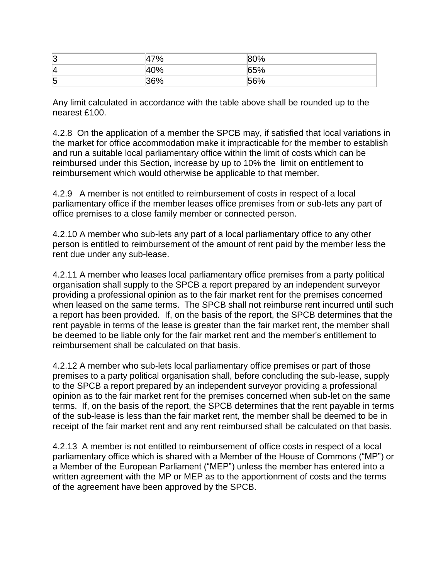| ാ<br>э.<br>N | $-2$<br>. u<br>. .         | $\Omega$<br>70 |
|--------------|----------------------------|----------------|
| $\Delta$     | $\sim$ $\sim$ $\sim$<br>70 | 70             |
| 一 六<br>N     | $\sim$                     | $-$            |

Any limit calculated in accordance with the table above shall be rounded up to the nearest £100.

4.2.8 On the application of a member the SPCB may, if satisfied that local variations in the market for office accommodation make it impracticable for the member to establish and run a suitable local parliamentary office within the limit of costs which can be reimbursed under this Section, increase by up to 10% the limit on entitlement to reimbursement which would otherwise be applicable to that member.

4.2.9 A member is not entitled to reimbursement of costs in respect of a local parliamentary office if the member leases office premises from or sub-lets any part of office premises to a close family member or connected person.

4.2.10 A member who sub-lets any part of a local parliamentary office to any other person is entitled to reimbursement of the amount of rent paid by the member less the rent due under any sub-lease.

4.2.11 A member who leases local parliamentary office premises from a party political organisation shall supply to the SPCB a report prepared by an independent surveyor providing a professional opinion as to the fair market rent for the premises concerned when leased on the same terms. The SPCB shall not reimburse rent incurred until such a report has been provided. If, on the basis of the report, the SPCB determines that the rent payable in terms of the lease is greater than the fair market rent, the member shall be deemed to be liable only for the fair market rent and the member's entitlement to reimbursement shall be calculated on that basis.

4.2.12 A member who sub-lets local parliamentary office premises or part of those premises to a party political organisation shall, before concluding the sub-lease, supply to the SPCB a report prepared by an independent surveyor providing a professional opinion as to the fair market rent for the premises concerned when sub-let on the same terms. If, on the basis of the report, the SPCB determines that the rent payable in terms of the sub-lease is less than the fair market rent, the member shall be deemed to be in receipt of the fair market rent and any rent reimbursed shall be calculated on that basis.

4.2.13 A member is not entitled to reimbursement of office costs in respect of a local parliamentary office which is shared with a Member of the House of Commons ("MP") or a Member of the European Parliament ("MEP") unless the member has entered into a written agreement with the MP or MEP as to the apportionment of costs and the terms of the agreement have been approved by the SPCB.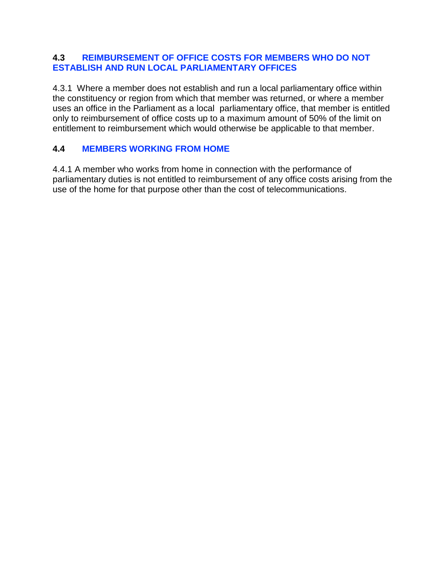#### <span id="page-19-0"></span>**4.3 [REIMBURSEMENT OF OFFICE COSTS FOR MEMBERS WHO DO NOT](#page-19-0)  ESTABLISH AND [RUN LOCAL PARLIAMENTARY OFFICES](#page-19-0)**

4.3.1 Where a member does not establish and run a local parliamentary office within the constituency or region from which that member was returned, or where a member uses an office in the Parliament as a local parliamentary office, that member is entitled only to reimbursement of office costs up to a maximum amount of 50% of the limit on entitlement to reimbursement which would otherwise be applicable to that member.

### <span id="page-19-1"></span>**4.4 [MEMBERS WORKING](#page-19-1) FROM HOME**

4.4.1 A member who works from home in connection with the performance of parliamentary duties is not entitled to reimbursement of any office costs arising from the use of the home for that purpose other than the cost of telecommunications.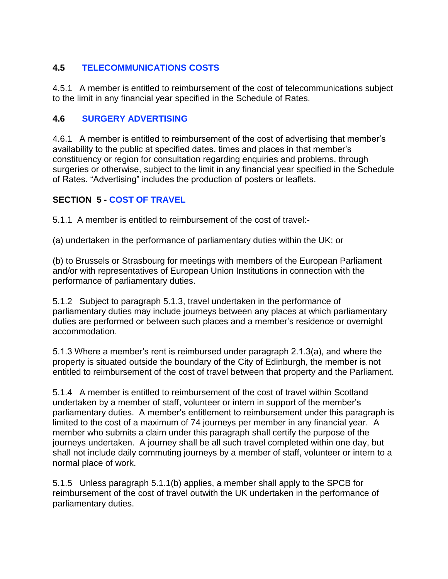## <span id="page-20-0"></span>**4.5 [TELECOMMUNICATIONS COSTS](#page-20-0)**

4.5.1 A member is entitled to reimbursement of the cost of telecommunications subject to the limit in any financial year specified in the Schedule of Rates.

### <span id="page-20-1"></span>**4.6 [SURGERY ADVERTISING](#page-20-1)**

4.6.1 A member is entitled to reimbursement of the cost of advertising that member's availability to the public at specified dates, times and places in that member's constituency or region for consultation regarding enquiries and problems, through surgeries or otherwise, subject to the limit in any financial year specified in the Schedule of Rates. "Advertising" includes the production of posters or leaflets.

### <span id="page-20-2"></span>**SECTION 5 - COST [OF TRAVEL](#page-20-2)**

5.1.1 A member is entitled to reimbursement of the cost of travel:-

(a) undertaken in the performance of parliamentary duties within the UK; or

(b) to Brussels or Strasbourg for meetings with members of the European Parliament and/or with representatives of European Union Institutions in connection with the performance of parliamentary duties.

5.1.2 Subject to paragraph 5.1.3, travel undertaken in the performance of parliamentary duties may include journeys between any places at which parliamentary duties are performed or between such places and a member's residence or overnight accommodation.

5.1.3 Where a member's rent is reimbursed under paragraph 2.1.3(a), and where the property is situated outside the boundary of the City of Edinburgh, the member is not entitled to reimbursement of the cost of travel between that property and the Parliament.

5.1.4 A member is entitled to reimbursement of the cost of travel within Scotland undertaken by a member of staff, volunteer or intern in support of the member's parliamentary duties. A member's entitlement to reimbursement under this paragraph is limited to the cost of a maximum of 74 journeys per member in any financial year. A member who submits a claim under this paragraph shall certify the purpose of the journeys undertaken. A journey shall be all such travel completed within one day, but shall not include daily commuting journeys by a member of staff, volunteer or intern to a normal place of work.

5.1.5 Unless paragraph 5.1.1(b) applies, a member shall apply to the SPCB for reimbursement of the cost of travel outwith the UK undertaken in the performance of parliamentary duties.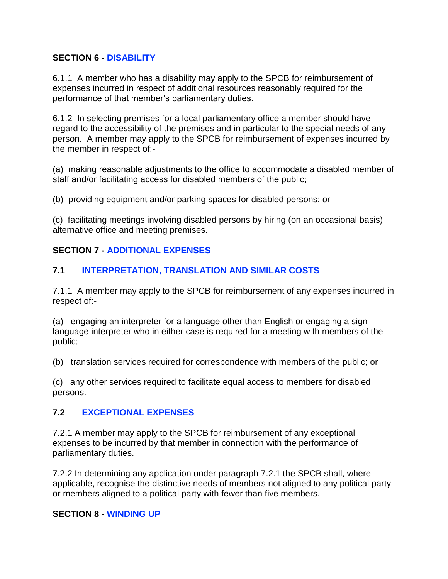#### <span id="page-21-0"></span>**SECTION 6 - [DISABILITY](#page-21-0)**

6.1.1 A member who has a disability may apply to the SPCB for reimbursement of expenses incurred in respect of additional resources reasonably required for the performance of that member's parliamentary duties.

6.1.2 In selecting premises for a local parliamentary office a member should have regard to the accessibility of the premises and in particular to the special needs of any person. A member may apply to the SPCB for reimbursement of expenses incurred by the member in respect of:-

(a) making reasonable adjustments to the office to accommodate a disabled member of staff and/or facilitating access for disabled members of the public;

(b) providing equipment and/or parking spaces for disabled persons; or

(c) facilitating meetings involving disabled persons by hiring (on an occasional basis) alternative office and meeting premises.

## <span id="page-21-2"></span>**SECTION 7 - [ADDITIONAL EXPENSES](#page-21-2)**

## <span id="page-21-3"></span>**7.1 [INTERPRETATION, TRANSLATION AND SIMILAR COSTS](#page-21-3)**

7.1.1 A member may apply to the SPCB for reimbursement of any expenses incurred in respect of:-

(a) engaging an interpreter for a language other than English or engaging a sign language interpreter who in either case is required for a meeting with members of the public;

(b) translation services required for correspondence with members of the public; or

(c) any other services required to facilitate equal access to members for disabled persons.

### <span id="page-21-4"></span>**7.2 [EXCEPTIONAL EXPENSES](#page-21-4)**

7.2.1 A member may apply to the SPCB for reimbursement of any exceptional expenses to be incurred by that member in connection with the performance of parliamentary duties.

7.2.2 In determining any application under paragraph 7.2.1 the SPCB shall, where applicable, recognise the distinctive needs of members not aligned to any political party or members aligned to a political party with fewer than five members.

#### <span id="page-21-1"></span>**SECTION 8 - [WINDING UP](#page-21-1)**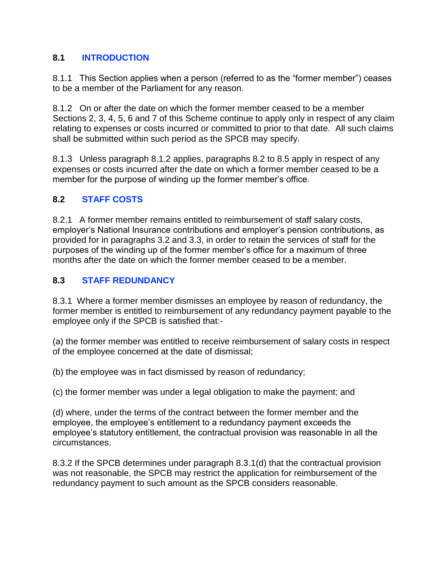### <span id="page-22-0"></span>**8.1 [INTRODUCTION](#page-22-0)**

8.1.1 This Section applies when a person (referred to as the "former member") ceases to be a member of the Parliament for any reason.

8.1.2 On or after the date on which the former member ceased to be a member Sections 2, 3, 4, 5, 6 and 7 of this Scheme continue to apply only in respect of any claim relating to expenses or costs incurred or committed to prior to that date. All such claims shall be submitted within such period as the SPCB may specify.

8.1.3 Unless paragraph 8.1.2 applies, paragraphs 8.2 to 8.5 apply in respect of any expenses or costs incurred after the date on which a former member ceased to be a member for the purpose of winding up the former member's office.

### <span id="page-22-1"></span>**8.2 [STAFF COSTS](#page-22-1)**

8.2.1 A former member remains entitled to reimbursement of staff salary costs, employer's National Insurance contributions and employer's pension contributions, as provided for in paragraphs 3.2 and 3.3, in order to retain the services of staff for the purposes of the winding up of the former member's office for a maximum of three months after the date on which the former member ceased to be a member.

### <span id="page-22-2"></span>**8.3 [STAFF REDUNDANCY](#page-22-2)**

8.3.1 Where a former member dismisses an employee by reason of redundancy, the former member is entitled to reimbursement of any redundancy payment payable to the employee only if the SPCB is satisfied that:-

(a) the former member was entitled to receive reimbursement of salary costs in respect of the employee concerned at the date of dismissal;

(b) the employee was in fact dismissed by reason of redundancy;

(c) the former member was under a legal obligation to make the payment; and

(d) where, under the terms of the contract between the former member and the employee, the employee's entitlement to a redundancy payment exceeds the employee's statutory entitlement, the contractual provision was reasonable in all the circumstances.

8.3.2 If the SPCB determines under paragraph 8.3.1(d) that the contractual provision was not reasonable, the SPCB may restrict the application for reimbursement of the redundancy payment to such amount as the SPCB considers reasonable.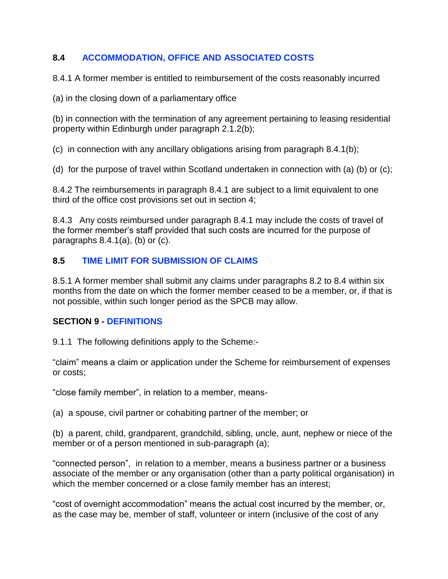### <span id="page-23-1"></span>**8.4 [ACCOMMODATION, OFFICE AND ASSOCIATED COSTS](#page-23-1)**

8.4.1 A former member is entitled to reimbursement of the costs reasonably incurred

(a) in the closing down of a parliamentary office

(b) in connection with the termination of any agreement pertaining to leasing residential property within Edinburgh under paragraph 2.1.2(b);

(c) in connection with any ancillary obligations arising from paragraph 8.4.1(b);

(d) for the purpose of travel within Scotland undertaken in connection with (a) (b) or (c);

8.4.2 The reimbursements in paragraph 8.4.1 are subject to a limit equivalent to one third of the office cost provisions set out in section 4;

8.4.3 Any costs reimbursed under paragraph 8.4.1 may include the costs of travel of the former member's staff provided that such costs are incurred for the purpose of paragraphs 8.4.1(a), (b) or (c).

## <span id="page-23-2"></span>**8.5 [TIME LIMIT FOR SUBMISSION OF CLAIMS](#page-23-2)**

8.5.1 A former member shall submit any claims under paragraphs 8.2 to 8.4 within six months from the date on which the former member ceased to be a member, or, if that is not possible, within such longer period as the SPCB may allow.

### <span id="page-23-0"></span>**SECTION 9 - [DEFINITIONS](#page-23-0)**

9.1.1 The following definitions apply to the Scheme:-

"claim" means a claim or application under the Scheme for reimbursement of expenses or costs;

"close family member", in relation to a member, means-

(a) a spouse, civil partner or cohabiting partner of the member; or

(b) a parent, child, grandparent, grandchild, sibling, uncle, aunt, nephew or niece of the member or of a person mentioned in sub-paragraph (a);

"connected person", in relation to a member, means a business partner or a business associate of the member or any organisation (other than a party political organisation) in which the member concerned or a close family member has an interest;

"cost of overnight accommodation" means the actual cost incurred by the member, or, as the case may be, member of staff, volunteer or intern (inclusive of the cost of any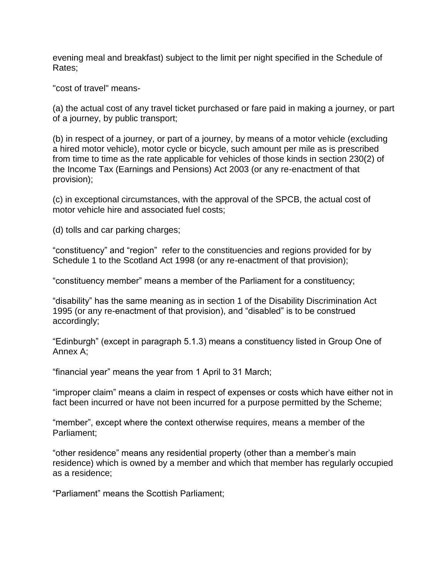evening meal and breakfast) subject to the limit per night specified in the Schedule of Rates;

"cost of travel" means-

(a) the actual cost of any travel ticket purchased or fare paid in making a journey, or part of a journey, by public transport;

(b) in respect of a journey, or part of a journey, by means of a motor vehicle (excluding a hired motor vehicle), motor cycle or bicycle, such amount per mile as is prescribed from time to time as the rate applicable for vehicles of those kinds in section 230(2) of the Income Tax (Earnings and Pensions) Act 2003 (or any re-enactment of that provision);

(c) in exceptional circumstances, with the approval of the SPCB, the actual cost of motor vehicle hire and associated fuel costs;

(d) tolls and car parking charges;

"constituency" and "region" refer to the constituencies and regions provided for by Schedule 1 to the Scotland Act 1998 (or any re-enactment of that provision);

"constituency member" means a member of the Parliament for a constituency;

"disability" has the same meaning as in section 1 of the Disability Discrimination Act 1995 (or any re-enactment of that provision), and "disabled" is to be construed accordingly;

"Edinburgh" (except in paragraph 5.1.3) means a constituency listed in Group One of Annex A;

"financial year" means the year from 1 April to 31 March;

"improper claim" means a claim in respect of expenses or costs which have either not in fact been incurred or have not been incurred for a purpose permitted by the Scheme;

"member", except where the context otherwise requires, means a member of the Parliament;

"other residence" means any residential property (other than a member's main residence) which is owned by a member and which that member has regularly occupied as a residence;

"Parliament" means the Scottish Parliament;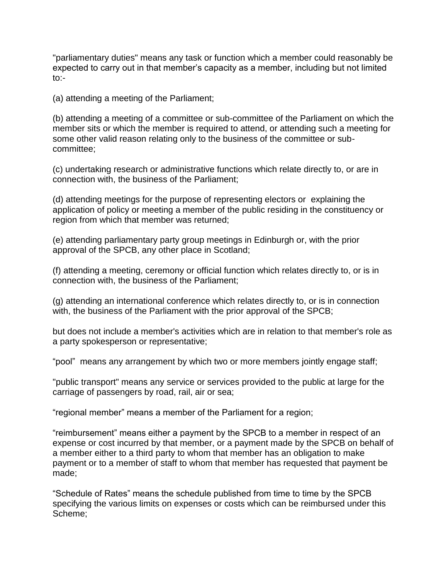"parliamentary duties" means any task or function which a member could reasonably be expected to carry out in that member's capacity as a member, including but not limited to:-

(a) attending a meeting of the Parliament;

(b) attending a meeting of a committee or sub-committee of the Parliament on which the member sits or which the member is required to attend, or attending such a meeting for some other valid reason relating only to the business of the committee or subcommittee;

(c) undertaking research or administrative functions which relate directly to, or are in connection with, the business of the Parliament;

(d) attending meetings for the purpose of representing electors or explaining the application of policy or meeting a member of the public residing in the constituency or region from which that member was returned;

(e) attending parliamentary party group meetings in Edinburgh or, with the prior approval of the SPCB, any other place in Scotland;

(f) attending a meeting, ceremony or official function which relates directly to, or is in connection with, the business of the Parliament;

(g) attending an international conference which relates directly to, or is in connection with, the business of the Parliament with the prior approval of the SPCB;

but does not include a member's activities which are in relation to that member's role as a party spokesperson or representative;

"pool" means any arrangement by which two or more members jointly engage staff;

"public transport" means any service or services provided to the public at large for the carriage of passengers by road, rail, air or sea;

"regional member" means a member of the Parliament for a region;

"reimbursement" means either a payment by the SPCB to a member in respect of an expense or cost incurred by that member, or a payment made by the SPCB on behalf of a member either to a third party to whom that member has an obligation to make payment or to a member of staff to whom that member has requested that payment be made;

"Schedule of Rates" means the schedule published from time to time by the SPCB specifying the various limits on expenses or costs which can be reimbursed under this Scheme;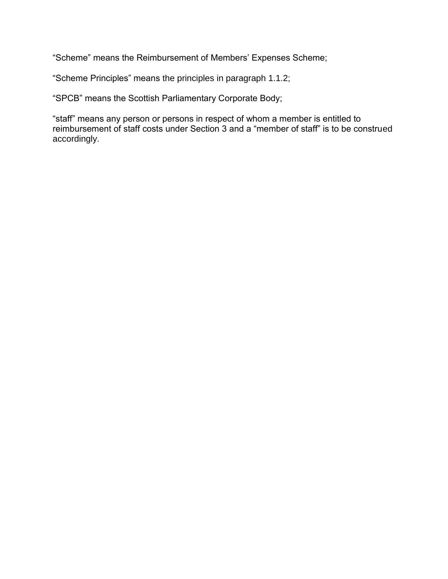"Scheme" means the Reimbursement of Members' Expenses Scheme;

"Scheme Principles" means the principles in paragraph 1.1.2;

"SPCB" means the Scottish Parliamentary Corporate Body;

<span id="page-26-0"></span>"staff" means any person or persons in respect of whom a member is entitled to reimbursement of staff costs under Section 3 and a "member of staff" is to be construed accordingly.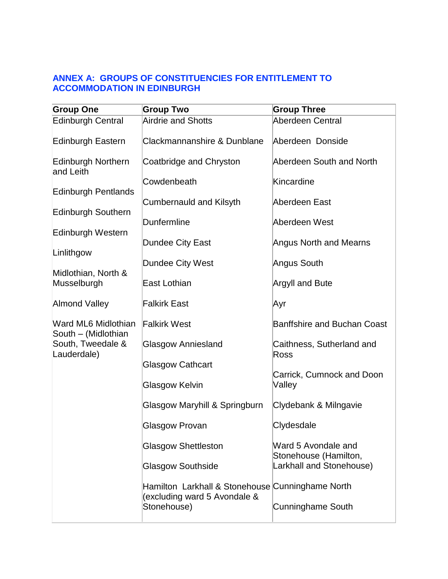### **ANNEX A: [GROUPS OF CONSTITUENCIES FOR ENTITLEMENT TO](#page-26-0)  [ACCOMMODATION IN EDINBURGH](#page-26-0)**

| <b>Group One</b>                                                               | <b>Group Two</b>                                                                                | <b>Group Three</b>                           |  |
|--------------------------------------------------------------------------------|-------------------------------------------------------------------------------------------------|----------------------------------------------|--|
| <b>Edinburgh Central</b>                                                       | <b>Airdrie and Shotts</b>                                                                       | Aberdeen Central                             |  |
| <b>Edinburgh Eastern</b>                                                       | Clackmannanshire & Dunblane                                                                     | Aberdeen Donside                             |  |
| Edinburgh Northern<br>and Leith                                                | Coatbridge and Chryston                                                                         | Aberdeen South and North                     |  |
|                                                                                | Cowdenbeath                                                                                     | Kincardine                                   |  |
| <b>Edinburgh Pentlands</b>                                                     | Cumbernauld and Kilsyth                                                                         | Aberdeen East                                |  |
| Edinburgh Southern                                                             | Dunfermline                                                                                     | Aberdeen West                                |  |
| Edinburgh Western                                                              |                                                                                                 |                                              |  |
|                                                                                | Dundee City East                                                                                | <b>Angus North and Mearns</b>                |  |
| Linlithgow                                                                     | Dundee City West                                                                                | Angus South                                  |  |
| Midlothian, North &<br>Musselburgh                                             | <b>East Lothian</b>                                                                             | <b>Argyll and Bute</b>                       |  |
| <b>Almond Valley</b>                                                           | <b>Falkirk East</b>                                                                             | Ayr                                          |  |
| Ward ML6 Midlothian<br>South - (Midlothian<br>South, Tweedale &<br>Lauderdale) | <b>Falkirk West</b>                                                                             | <b>Banffshire and Buchan Coast</b>           |  |
|                                                                                | <b>Glasgow Anniesland</b>                                                                       | Caithness, Sutherland and<br>Ross            |  |
|                                                                                | <b>Glasgow Cathcart</b>                                                                         |                                              |  |
|                                                                                | Glasgow Kelvin                                                                                  | Carrick, Cumnock and Doon<br>Valley          |  |
|                                                                                | Glasgow Maryhill & Springburn                                                                   | Clydebank & Milngavie                        |  |
|                                                                                | Glasgow Provan                                                                                  | Clydesdale                                   |  |
|                                                                                | <b>Glasgow Shettleston</b>                                                                      | Ward 5 Avondale and<br>Stonehouse (Hamilton, |  |
|                                                                                | <b>Glasgow Southside</b>                                                                        | Larkhall and Stonehouse)                     |  |
|                                                                                | Hamilton Larkhall & Stonehouse Cunninghame North<br>(excluding ward 5 Avondale &<br>Stonehouse) | <b>Cunninghame South</b>                     |  |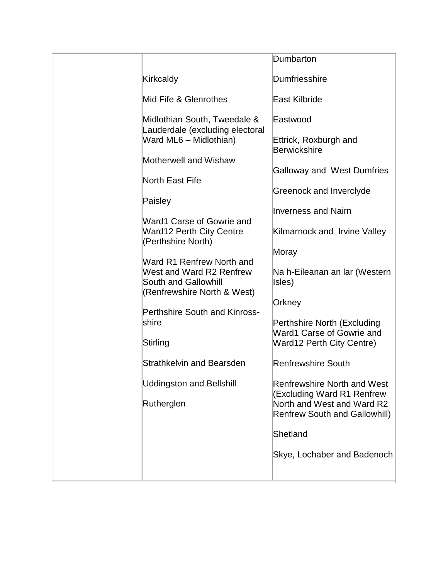<span id="page-28-0"></span>

|                                                                                        | Dumbarton                                                          |
|----------------------------------------------------------------------------------------|--------------------------------------------------------------------|
| Kirkcaldy                                                                              | Dumfriesshire                                                      |
| Mid Fife & Glenrothes                                                                  | East Kilbride                                                      |
| Midlothian South, Tweedale &<br>Lauderdale (excluding electoral                        | Eastwood                                                           |
| Ward ML6 - Midlothian)                                                                 | Ettrick, Roxburgh and<br><b>Berwickshire</b>                       |
| Motherwell and Wishaw                                                                  | <b>Galloway and West Dumfries</b>                                  |
| North East Fife                                                                        |                                                                    |
| Paisley                                                                                | Greenock and Inverclyde                                            |
| Ward1 Carse of Gowrie and                                                              | <b>Inverness and Nairn</b>                                         |
| <b>Ward12 Perth City Centre</b><br>(Perthshire North)                                  | Kilmarnock and Irvine Valley                                       |
| Ward R1 Renfrew North and                                                              | Moray                                                              |
| West and Ward R2 Renfrew<br><b>South and Gallowhill</b><br>(Renfrewshire North & West) | Na h-Eileanan an Iar (Western<br>Isles)                            |
|                                                                                        | Orkney                                                             |
| <b>Perthshire South and Kinross-</b><br>shire                                          | Perthshire North (Excluding<br>Ward1 Carse of Gowrie and           |
| Stirling                                                                               | <b>Ward12 Perth City Centre)</b>                                   |
| <b>Strathkelvin and Bearsden</b>                                                       | <b>Renfrewshire South</b>                                          |
| <b>Uddingston and Bellshill</b>                                                        | <b>Renfrewshire North and West</b><br>(Excluding Ward R1 Renfrew   |
| Rutherglen                                                                             | North and West and Ward R2<br><b>Renfrew South and Gallowhill)</b> |
|                                                                                        | Shetland                                                           |
|                                                                                        | Skye, Lochaber and Badenoch                                        |
|                                                                                        |                                                                    |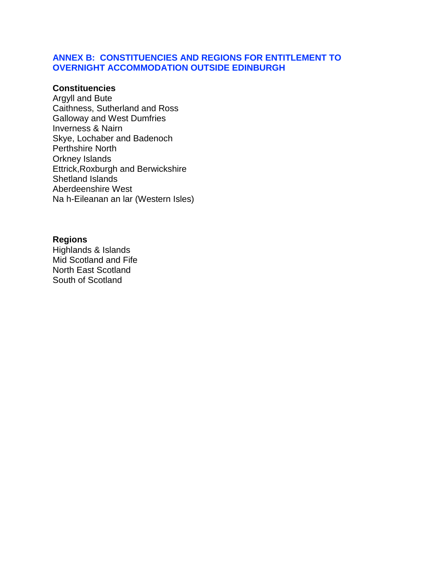#### **ANNEX B: [CONSTITUENCIES AND REGIONS FOR ENTITLEMENT TO](#page-28-0)  [OVERNIGHT ACCOMMODATION OUTSIDE EDINBURGH](#page-28-0)**

#### **Constituencies**

Argyll and Bute Caithness, Sutherland and Ross Galloway and West Dumfries Inverness & Nairn Skye, Lochaber and Badenoch Perthshire North Orkney Islands Ettrick,Roxburgh and Berwickshire Shetland Islands Aberdeenshire West Na h-Eileanan an lar (Western Isles)

#### **Regions**

Highlands & Islands Mid Scotland and Fife North East Scotland South of Scotland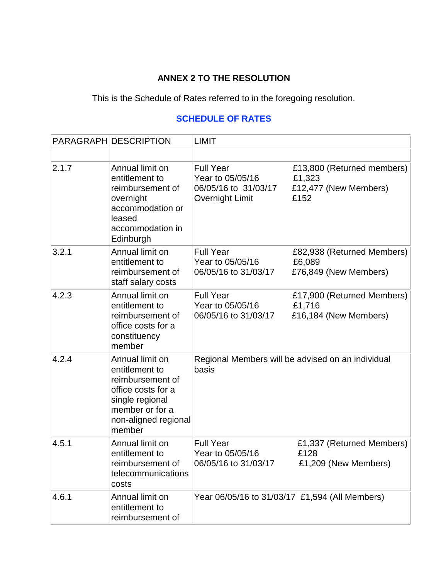## **ANNEX 2 TO THE RESOLUTION**

This is the Schedule of Rates referred to in the foregoing resolution.

## **[SCHEDULE OF RATES](#page-30-0)**

<span id="page-30-0"></span>

|       | PARAGRAPH DESCRIPTION                                                                                                                               | LIMIT                                                                           |                                                                       |
|-------|-----------------------------------------------------------------------------------------------------------------------------------------------------|---------------------------------------------------------------------------------|-----------------------------------------------------------------------|
|       |                                                                                                                                                     |                                                                                 |                                                                       |
| 2.1.7 | Annual limit on<br>entitlement to<br>reimbursement of<br>overnight<br>accommodation or<br>leased<br>accommodation in<br>Edinburgh                   | <b>Full Year</b><br>Year to 05/05/16<br>06/05/16 to 31/03/17<br>Overnight Limit | £13,800 (Returned members)<br>£1,323<br>£12,477 (New Members)<br>£152 |
| 3.2.1 | Annual limit on<br>entitlement to<br>reimbursement of<br>staff salary costs                                                                         | <b>Full Year</b><br>Year to 05/05/16<br>06/05/16 to 31/03/17                    | £82,938 (Returned Members)<br>£6,089<br>£76,849 (New Members)         |
| 4.2.3 | Annual limit on<br>entitlement to<br>reimbursement of<br>office costs for a<br>constituency<br>member                                               | <b>Full Year</b><br>Year to 05/05/16<br>06/05/16 to 31/03/17                    | £17,900 (Returned Members)<br>£1,716<br>£16,184 (New Members)         |
| 4.2.4 | Annual limit on<br>entitlement to<br>reimbursement of<br>office costs for a<br>single regional<br>member or for a<br>non-aligned regional<br>member | Regional Members will be advised on an individual<br>basis                      |                                                                       |
| 4.5.1 | Annual limit on<br>entitlement to<br>reimbursement of<br>telecommunications<br>costs                                                                | <b>Full Year</b><br>Year to 05/05/16<br>06/05/16 to 31/03/17                    | £1,337 (Returned Members)<br>£128<br>£1,209 (New Members)             |
| 4.6.1 | Annual limit on<br>entitlement to<br>reimbursement of                                                                                               | Year 06/05/16 to 31/03/17 £1,594 (All Members)                                  |                                                                       |